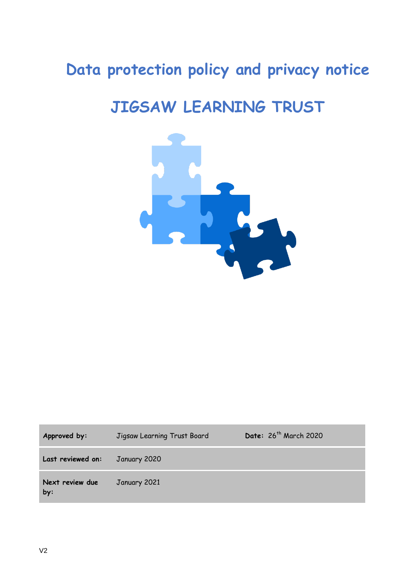# **Data protection policy and privacy notice**

# **JIGSAW LEARNING TRUST**



| Approved by:           | Jigsaw Learning Trust Board | Date: 26 <sup>th</sup> March 2020 |
|------------------------|-----------------------------|-----------------------------------|
| Last reviewed on:      | January 2020                |                                   |
| Next review due<br>by: | January 2021                |                                   |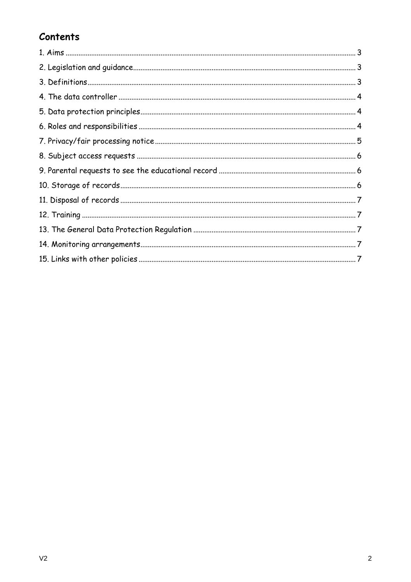# Contents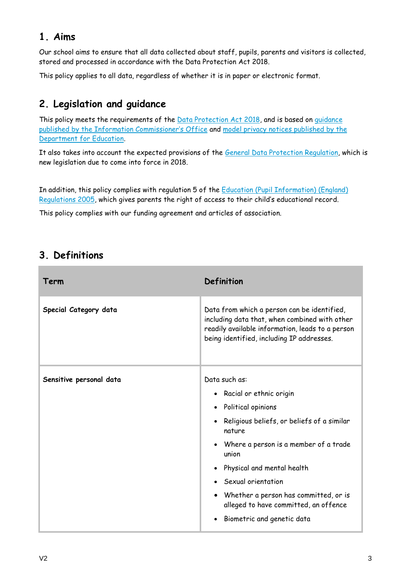# **1. Aims**

Our school aims to ensure that all data collected about staff, pupils, parents and visitors is collected, stored and processed in accordance with the Data Protection Act 2018.

This policy applies to all data, regardless of whether it is in paper or electronic format.

# **2. Legislation and guidance**

This policy meets the requirements of the [Data Protection Act 2018,](http://www.legislation.gov.uk/ukpga/1998/29/contents) and is based on quidance [published by the Information Commissioner's Office](https://ico.org.uk/for-organisations/guide-to-data-protection/) and [model privacy notices published by the](https://www.gov.uk/government/publications/data-protection-and-privacy-privacy-notices)  [Department for Education.](https://www.gov.uk/government/publications/data-protection-and-privacy-privacy-notices)

It also takes into account the expected provisions of the [General Data Protection Regulation,](http://data.consilium.europa.eu/doc/document/ST-5419-2016-INIT/en/pdf) which is new legislation due to come into force in 2018.

In addition, this policy complies with regulation 5 of the Education (Pupil Information) (England) [Regulations 2005,](http://www.legislation.gov.uk/uksi/2005/1437/regulation/5/made) which gives parents the right of access to their child's educational record.

This policy complies with our funding agreement and articles of association.

| Term                    | <b>Definition</b>                                                                                                                                                                                                                                                                                                                     |
|-------------------------|---------------------------------------------------------------------------------------------------------------------------------------------------------------------------------------------------------------------------------------------------------------------------------------------------------------------------------------|
| Special Category data   | Data from which a person can be identified,<br>including data that, when combined with other<br>readily available information, leads to a person<br>being identified, including IP addresses.                                                                                                                                         |
| Sensitive personal data | Data such as:<br>• Racial or ethnic origin<br>• Political opinions<br>• Religious beliefs, or beliefs of a similar<br>nature<br>Where a person is a member of a trade<br>$\bullet$<br>union<br>Physical and mental health<br>• Sexual orientation<br>• Whether a person has committed, or is<br>alleged to have committed, an offence |
|                         | Biometric and genetic data<br>$\bullet$                                                                                                                                                                                                                                                                                               |

### **3. Definitions**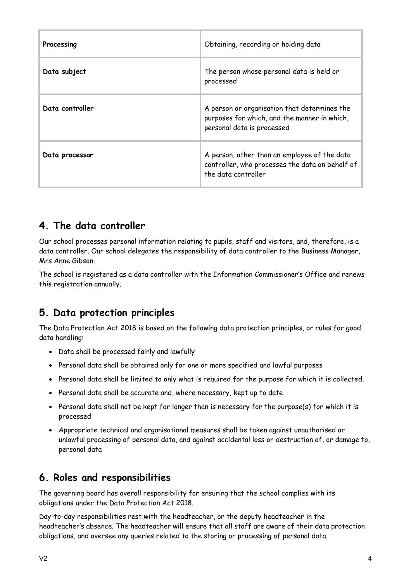| Processing      | Obtaining, recording or holding data                                                                                       |
|-----------------|----------------------------------------------------------------------------------------------------------------------------|
| Data subject    | The person whose personal data is held or<br>processed                                                                     |
| Data controller | A person or organisation that determines the<br>purposes for which, and the manner in which,<br>personal data is processed |
| Data processor  | A person, other than an employee of the data<br>controller, who processes the data on behalf of<br>the data controller     |

# **4. The data controller**

Our school processes personal information relating to pupils, staff and visitors, and, therefore, is a data controller. Our school delegates the responsibility of data controller to the Business Manager, Mrs Anne Gibson.

The school is registered as a data controller with the Information Commissioner's Office and renews this registration annually.

# **5. Data protection principles**

The Data Protection Act 2018 is based on the following data protection principles, or rules for good data handling:

- Data shall be processed fairly and lawfully
- Personal data shall be obtained only for one or more specified and lawful purposes
- Personal data shall be limited to only what is required for the purpose for which it is collected.
- Personal data shall be accurate and, where necessary, kept up to date
- Personal data shall not be kept for longer than is necessary for the purpose(s) for which it is processed
- Appropriate technical and organisational measures shall be taken against unauthorised or unlawful processing of personal data, and against accidental loss or destruction of, or damage to, personal data

# **6. Roles and responsibilities**

The governing board has overall responsibility for ensuring that the school complies with its obligations under the Data Protection Act 2018.

Day-to-day responsibilities rest with the headteacher, or the deputy headteacher in the headteacher's absence. The headteacher will ensure that all staff are aware of their data protection obligations, and oversee any queries related to the storing or processing of personal data.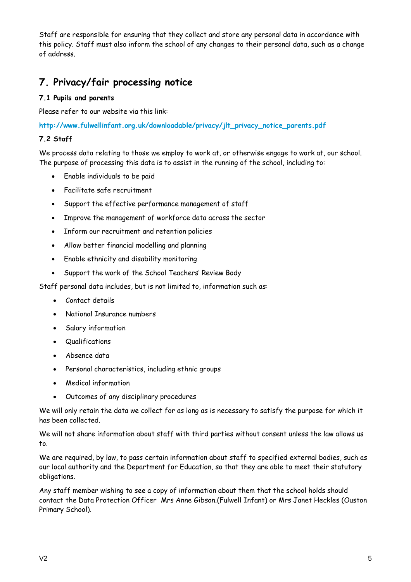Staff are responsible for ensuring that they collect and store any personal data in accordance with this policy. Staff must also inform the school of any changes to their personal data, such as a change of address.

# **7. Privacy/fair processing notice**

#### **7.1 Pupils and parents**

Please refer to our website via this link:

**[http://www.fulwellinfant.org.uk/downloadable/privacy/jlt\\_privacy\\_notice\\_parents.pdf](http://www.fulwellinfant.org.uk/downloadable/privacy/jlt_privacy_notice_parents.pdf)**

#### **7.2 Staff**

We process data relating to those we employ to work at, or otherwise engage to work at, our school. The purpose of processing this data is to assist in the running of the school, including to:

- Enable individuals to be paid
- Facilitate safe recruitment
- Support the effective performance management of staff
- Improve the management of workforce data across the sector
- Inform our recruitment and retention policies
- Allow better financial modelling and planning
- Enable ethnicity and disability monitoring
- Support the work of the School Teachers' Review Body

Staff personal data includes, but is not limited to, information such as:

- Contact details
- National Insurance numbers
- Salary information
- Qualifications
- Absence data
- Personal characteristics, including ethnic groups
- Medical information
- Outcomes of any disciplinary procedures

We will only retain the data we collect for as long as is necessary to satisfy the purpose for which it has been collected.

We will not share information about staff with third parties without consent unless the law allows us to.

We are required, by law, to pass certain information about staff to specified external bodies, such as our local authority and the Department for Education, so that they are able to meet their statutory obligations.

Any staff member wishing to see a copy of information about them that the school holds should contact the Data Protection Officer Mrs Anne Gibson.(Fulwell Infant) or Mrs Janet Heckles (Ouston Primary School).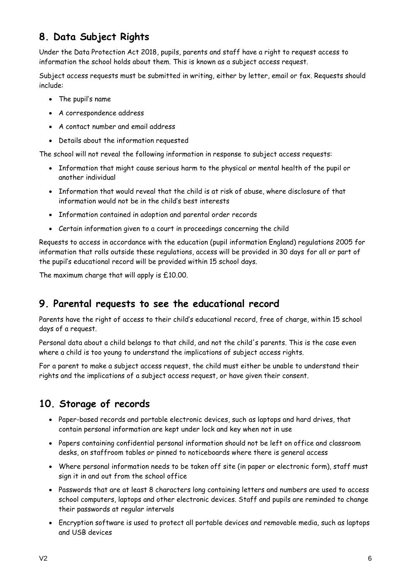# **8. Data Subject Rights**

Under the Data Protection Act 2018, pupils, parents and staff have a right to request access to information the school holds about them. This is known as a subject access request.

Subject access requests must be submitted in writing, either by letter, email or fax. Requests should include:

- The pupil's name
- A correspondence address
- A contact number and email address
- Details about the information requested

The school will not reveal the following information in response to subject access requests:

- Information that might cause serious harm to the physical or mental health of the pupil or another individual
- Information that would reveal that the child is at risk of abuse, where disclosure of that information would not be in the child's best interests
- Information contained in adoption and parental order records
- Certain information given to a court in proceedings concerning the child

Requests to access in accordance with the education (pupil information England) regulations 2005 for information that rolls outside these regulations, access will be provided in 30 days for all or part of the pupil's educational record will be provided within 15 school days.

The maximum charge that will apply is £10.00.

# **9. Parental requests to see the educational record**

Parents have the right of access to their child's educational record, free of charge, within 15 school days of a request.

Personal data about a child belongs to that child, and not the child's parents. This is the case even where a child is too young to understand the implications of subject access rights.

For a parent to make a subject access request, the child must either be unable to understand their rights and the implications of a subject access request, or have given their consent.

# **10. Storage of records**

- Paper-based records and portable electronic devices, such as laptops and hard drives, that contain personal information are kept under lock and key when not in use
- Papers containing confidential personal information should not be left on office and classroom desks, on staffroom tables or pinned to noticeboards where there is general access
- Where personal information needs to be taken off site (in paper or electronic form), staff must sign it in and out from the school office
- Passwords that are at least 8 characters long containing letters and numbers are used to access school computers, laptops and other electronic devices. Staff and pupils are reminded to change their passwords at regular intervals
- Encryption software is used to protect all portable devices and removable media, such as laptops and USB devices